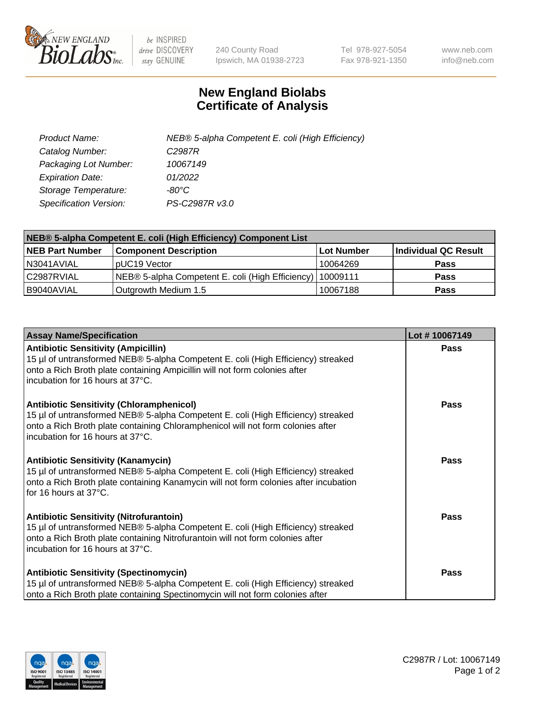

 $be$  INSPIRED drive DISCOVERY stay GENUINE

240 County Road Ipswich, MA 01938-2723 Tel 978-927-5054 Fax 978-921-1350 www.neb.com info@neb.com

## **New England Biolabs Certificate of Analysis**

| Product Name:                 | NEB® 5-alpha Competent E. coli (High Efficiency) |
|-------------------------------|--------------------------------------------------|
| Catalog Number:               | C <sub>2987</sub> R                              |
| Packaging Lot Number:         | 10067149                                         |
| <b>Expiration Date:</b>       | 01/2022                                          |
| Storage Temperature:          | -80°C                                            |
| <b>Specification Version:</b> | PS-C2987R v3.0                                   |

| NEB® 5-alpha Competent E. coli (High Efficiency) Component List |                                                             |            |                      |  |
|-----------------------------------------------------------------|-------------------------------------------------------------|------------|----------------------|--|
| <b>NEB Part Number</b>                                          | <b>Component Description</b>                                | Lot Number | Individual QC Result |  |
| N3041AVIAL                                                      | pUC19 Vector                                                | 10064269   | <b>Pass</b>          |  |
| C2987RVIAL                                                      | NEB® 5-alpha Competent E. coli (High Efficiency)   10009111 |            | <b>Pass</b>          |  |
| B9040AVIAL                                                      | Outgrowth Medium 1.5                                        | 10067188   | <b>Pass</b>          |  |

| <b>Assay Name/Specification</b>                                                                                                                                                                                                                            | Lot #10067149 |
|------------------------------------------------------------------------------------------------------------------------------------------------------------------------------------------------------------------------------------------------------------|---------------|
| <b>Antibiotic Sensitivity (Ampicillin)</b><br>15 µl of untransformed NEB® 5-alpha Competent E. coli (High Efficiency) streaked<br>onto a Rich Broth plate containing Ampicillin will not form colonies after<br>incubation for 16 hours at 37°C.           | Pass          |
| <b>Antibiotic Sensitivity (Chloramphenicol)</b><br>15 µl of untransformed NEB® 5-alpha Competent E. coli (High Efficiency) streaked<br>onto a Rich Broth plate containing Chloramphenicol will not form colonies after<br>incubation for 16 hours at 37°C. | Pass          |
| <b>Antibiotic Sensitivity (Kanamycin)</b><br>15 µl of untransformed NEB® 5-alpha Competent E. coli (High Efficiency) streaked<br>onto a Rich Broth plate containing Kanamycin will not form colonies after incubation<br>for 16 hours at 37°C.             | Pass          |
| <b>Antibiotic Sensitivity (Nitrofurantoin)</b><br>15 µl of untransformed NEB® 5-alpha Competent E. coli (High Efficiency) streaked<br>onto a Rich Broth plate containing Nitrofurantoin will not form colonies after<br>incubation for 16 hours at 37°C.   | <b>Pass</b>   |
| <b>Antibiotic Sensitivity (Spectinomycin)</b><br>15 µl of untransformed NEB® 5-alpha Competent E. coli (High Efficiency) streaked<br>onto a Rich Broth plate containing Spectinomycin will not form colonies after                                         | Pass          |